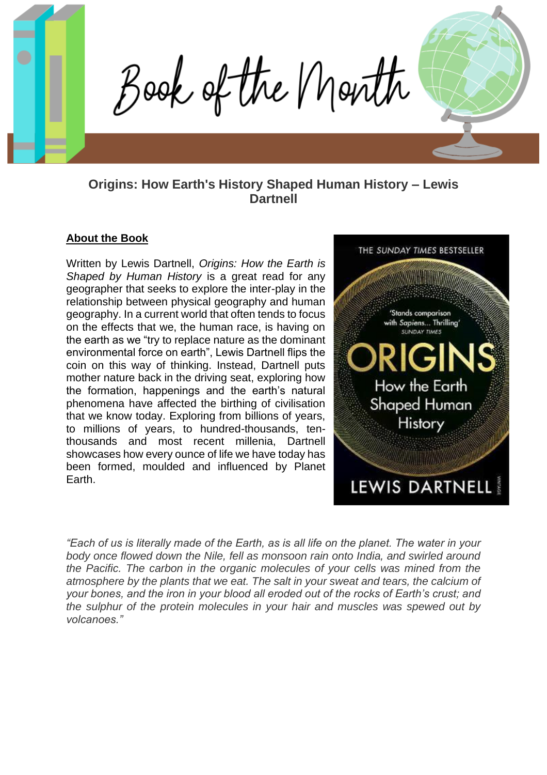Book of the Month

# **Origins: How Earth's History Shaped Human History – Lewis Dartnell**

#### **About the Book**

Written by Lewis Dartnell, *Origins: How the Earth is Shaped by Human History* is a great read for any geographer that seeks to explore the inter-play in the relationship between physical geography and human geography. In a current world that often tends to focus on the effects that we, the human race, is having on the earth as we "try to replace nature as the dominant environmental force on earth", Lewis Dartnell flips the coin on this way of thinking. Instead, Dartnell puts mother nature back in the driving seat, exploring how the formation, happenings and the earth's natural phenomena have affected the birthing of civilisation that we know today. Exploring from billions of years, to millions of years, to hundred-thousands, tenthousands and most recent millenia, Dartnell showcases how every ounce of life we have today has been formed, moulded and influenced by Planet Earth.



*"Each of us is literally made of the Earth, as is all life on the planet. The water in your body once flowed down the Nile, fell as monsoon rain onto India, and swirled around the Pacific. The carbon in the organic molecules of your cells was mined from the atmosphere by the plants that we eat. The salt in your sweat and tears, the calcium of your bones, and the iron in your blood all eroded out of the rocks of Earth's crust; and the sulphur of the protein molecules in your hair and muscles was spewed out by volcanoes."*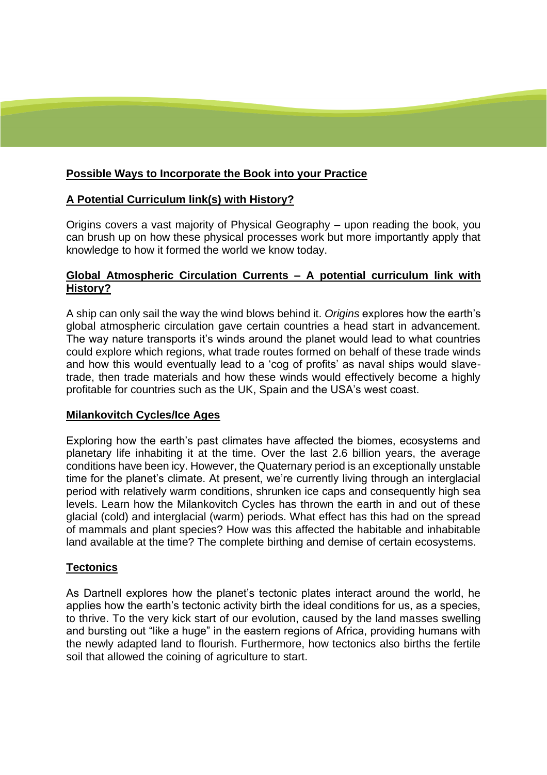## **Possible Ways to Incorporate the Book into your Practice**

## **A Potential Curriculum link(s) with History?**

Origins covers a vast majority of Physical Geography – upon reading the book, you can brush up on how these physical processes work but more importantly apply that knowledge to how it formed the world we know today.

### **Global Atmospheric Circulation Currents – A potential curriculum link with History?**

A ship can only sail the way the wind blows behind it. *Origins* explores how the earth's global atmospheric circulation gave certain countries a head start in advancement. The way nature transports it's winds around the planet would lead to what countries could explore which regions, what trade routes formed on behalf of these trade winds and how this would eventually lead to a 'cog of profits' as naval ships would slavetrade, then trade materials and how these winds would effectively become a highly profitable for countries such as the UK, Spain and the USA's west coast.

### **Milankovitch Cycles/Ice Ages**

Exploring how the earth's past climates have affected the biomes, ecosystems and planetary life inhabiting it at the time. Over the last 2.6 billion years, the average conditions have been icy. However, the Quaternary period is an exceptionally unstable time for the planet's climate. At present, we're currently living through an interglacial period with relatively warm conditions, shrunken ice caps and consequently high sea levels. Learn how the Milankovitch Cycles has thrown the earth in and out of these glacial (cold) and interglacial (warm) periods. What effect has this had on the spread of mammals and plant species? How was this affected the habitable and inhabitable land available at the time? The complete birthing and demise of certain ecosystems.

### **Tectonics**

As Dartnell explores how the planet's tectonic plates interact around the world, he applies how the earth's tectonic activity birth the ideal conditions for us, as a species, to thrive. To the very kick start of our evolution, caused by the land masses swelling and bursting out "like a huge" in the eastern regions of Africa, providing humans with the newly adapted land to flourish. Furthermore, how tectonics also births the fertile soil that allowed the coining of agriculture to start.